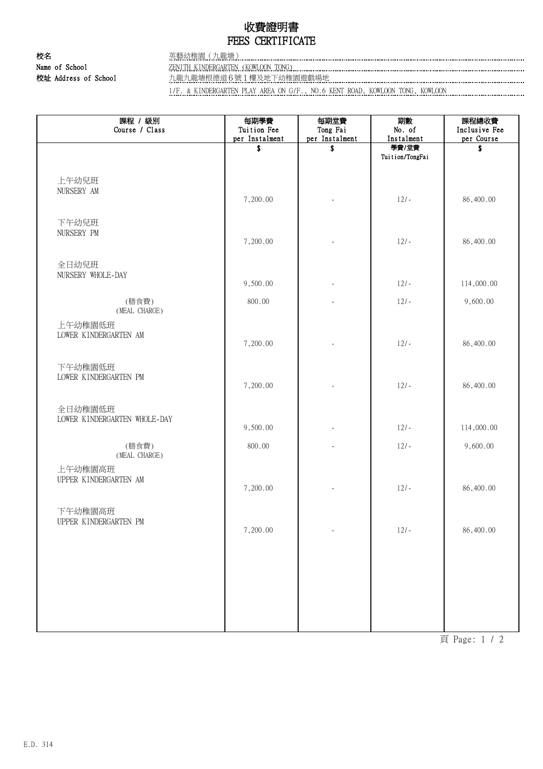## 收費證明書 FEES CERTIFICATE

校名 英藝幼稚園(九龍塘) Name of School ZENITH KINDERGARTEN (KOWLOON TONG)

校址 Address of School 九龍九龍塘根德道6號1樓及地下幼稚園遊戲場地

1/F. & KINDERGARTEN PLAY AREA ON G/F., NO.6 KENT ROAD, KOWLOON TONG, KOWLOON

| 期數<br>課程總收費<br>每期學費<br>每期堂費<br>Tuition Fee<br>Tong Fai<br>Inclusive Fee<br>No. of       | 課程 / 級別<br>Course / Class                         |
|-----------------------------------------------------------------------------------------|---------------------------------------------------|
| per Instalment<br>per Instalment<br>Instalment<br>per Course<br>學費/堂費<br>\$<br>\$<br>\$ |                                                   |
| Tuition/TongFai                                                                         |                                                   |
|                                                                                         | 上午幼兒班<br>NURSERY AM                               |
| 86,400.00<br>7,200.00<br>$12/-$                                                         |                                                   |
| 86,400.00<br>7,200.00<br>$12/-$<br>÷,                                                   | 下午幼兒班<br>NURSERY PM                               |
| 9,500.00<br>$12/-$<br>114,000.00                                                        | 全日幼兒班<br>NURSERY WHOLE-DAY                        |
|                                                                                         |                                                   |
| 800.00<br>$12/-$<br>9,600.00                                                            | (膳食費)                                             |
| 7,200.00<br>$12/-$<br>86,400.00                                                         | (MEAL CHARGE)<br>上午幼稚園低班<br>LOWER KINDERGARTEN AM |
| 86,400.00<br>7,200.00<br>$12/-$                                                         | 下午幼稚園低班<br>LOWER KINDERGARTEN PM                  |
| 9,500.00<br>$12/-$<br>114,000.00                                                        | 全日幼稚園低班<br>LOWER KINDERGARTEN WHOLE-DAY           |
| 800.00<br>9,600.00<br>$12/-$                                                            | (膳食費)                                             |
| 7,200.00<br>$12/-$<br>86,400.00                                                         | (MEAL CHARGE)<br>上午幼稚園高班<br>UPPER KINDERGARTEN AM |
| $12/-$<br>7,200.00<br>86,400.00<br>$\qquad \qquad \blacksquare$                         | 下午幼稚園高班<br>UPPER KINDERGARTEN PM                  |
|                                                                                         |                                                   |
|                                                                                         |                                                   |

頁 Page: 1 / 2